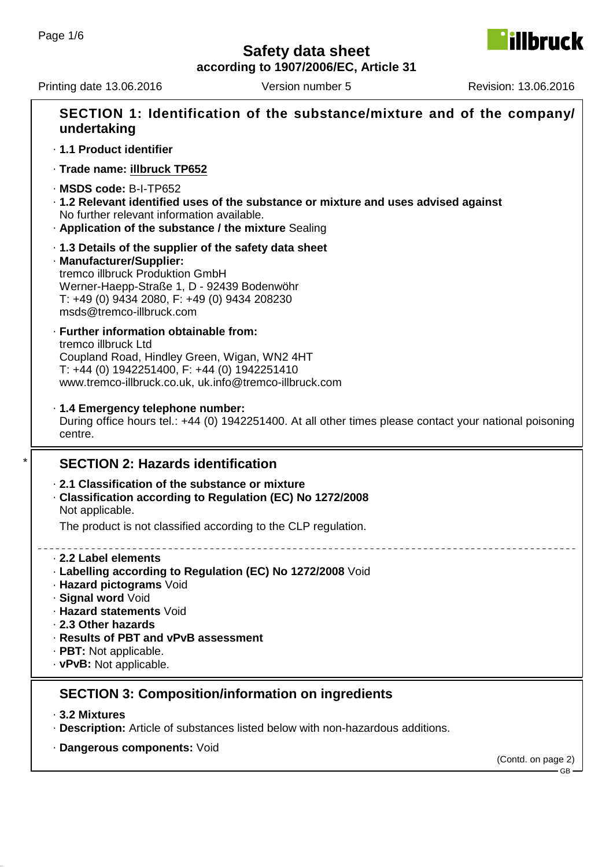**illbruck** 

**according to 1907/2006/EC, Article 31**

Printing date 13.06.2016 Version number 5 Revision: 13.06.2016

| undertaking                                                                                                                                                                                                                                   | SECTION 1: Identification of the substance/mixture and of the company/                                  |                    |
|-----------------------------------------------------------------------------------------------------------------------------------------------------------------------------------------------------------------------------------------------|---------------------------------------------------------------------------------------------------------|--------------------|
| · 1.1 Product identifier                                                                                                                                                                                                                      |                                                                                                         |                    |
| · Trade name: illbruck TP652                                                                                                                                                                                                                  |                                                                                                         |                    |
| $\cdot$ MSDS code: B-I-TP652<br>No further relevant information available.<br>. Application of the substance / the mixture Sealing                                                                                                            | . 1.2 Relevant identified uses of the substance or mixture and uses advised against                     |                    |
| 1.3 Details of the supplier of the safety data sheet<br>· Manufacturer/Supplier:<br>tremco illbruck Produktion GmbH<br>Werner-Haepp-Straße 1, D - 92439 Bodenwöhr<br>T: +49 (0) 9434 2080, F: +49 (0) 9434 208230<br>msds@tremco-illbruck.com |                                                                                                         |                    |
| · Further information obtainable from:<br>tremco illbruck Ltd<br>Coupland Road, Hindley Green, Wigan, WN2 4HT<br>T: +44 (0) 1942251400, F: +44 (0) 1942251410<br>www.tremco-illbruck.co.uk, uk.info@tremco-illbruck.com                       |                                                                                                         |                    |
| · 1.4 Emergency telephone number:<br>centre.                                                                                                                                                                                                  | During office hours tel.: +44 (0) 1942251400. At all other times please contact your national poisoning |                    |
| <b>SECTION 2: Hazards identification</b>                                                                                                                                                                                                      |                                                                                                         |                    |
| 2.1 Classification of the substance or mixture<br>Classification according to Regulation (EC) No 1272/2008<br>Not applicable.                                                                                                                 |                                                                                                         |                    |
|                                                                                                                                                                                                                                               | The product is not classified according to the CLP regulation.                                          |                    |
| 2.2 Label elements<br>· Hazard pictograms Void<br>· Signal word Void<br>· Hazard statements Void<br>2.3 Other hazards<br>· Results of PBT and vPvB assessment<br>· PBT: Not applicable.<br>· vPvB: Not applicable.                            | · Labelling according to Regulation (EC) No 1272/2008 Void                                              |                    |
|                                                                                                                                                                                                                                               | <b>SECTION 3: Composition/information on ingredients</b>                                                |                    |
| ⋅ 3.2 Mixtures                                                                                                                                                                                                                                | · Description: Article of substances listed below with non-hazardous additions.                         |                    |
| · Dangerous components: Void                                                                                                                                                                                                                  |                                                                                                         | (Contd. on page 2) |
|                                                                                                                                                                                                                                               |                                                                                                         |                    |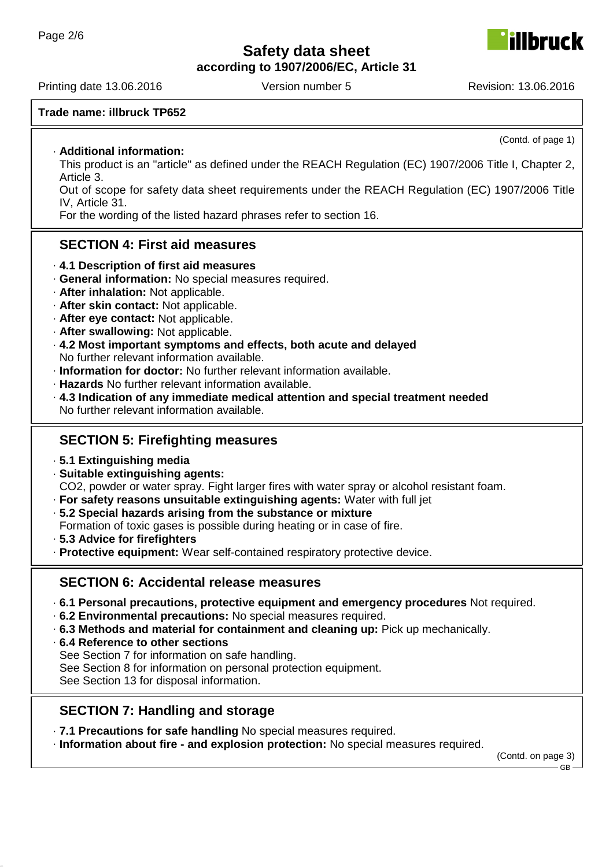**according to 1907/2006/EC, Article 31**

Printing date 13.06.2016 Version number 5 Revision: 13.06.2016

### **Trade name: illbruck TP652**

#### · **Additional information:**

This product is an "article" as defined under the REACH Regulation (EC) 1907/2006 Title I, Chapter 2, Article 3.

Out of scope for safety data sheet requirements under the REACH Regulation (EC) 1907/2006 Title IV, Article 31.

For the wording of the listed hazard phrases refer to section 16.

### **SECTION 4: First aid measures**

- · **4.1 Description of first aid measures**
- · **General information:** No special measures required.
- · **After inhalation:** Not applicable.
- · **After skin contact:** Not applicable.
- · **After eye contact:** Not applicable.
- · **After swallowing:** Not applicable.
- · **4.2 Most important symptoms and effects, both acute and delayed** No further relevant information available.
- · **Information for doctor:** No further relevant information available.
- · **Hazards** No further relevant information available.
- · **4.3 Indication of any immediate medical attention and special treatment needed** No further relevant information available.

### **SECTION 5: Firefighting measures**

- · **5.1 Extinguishing media**
- · **Suitable extinguishing agents:**

CO2, powder or water spray. Fight larger fires with water spray or alcohol resistant foam.

- · **For safety reasons unsuitable extinguishing agents:** Water with full jet
- · **5.2 Special hazards arising from the substance or mixture**
- Formation of toxic gases is possible during heating or in case of fire.
- · **5.3 Advice for firefighters**
- · **Protective equipment:** Wear self-contained respiratory protective device.

### **SECTION 6: Accidental release measures**

- · **6.1 Personal precautions, protective equipment and emergency procedures** Not required.
- · **6.2 Environmental precautions:** No special measures required.
- · **6.3 Methods and material for containment and cleaning up:** Pick up mechanically.
- · **6.4 Reference to other sections**

See Section 7 for information on safe handling.

See Section 8 for information on personal protection equipment.

See Section 13 for disposal information.

### **SECTION 7: Handling and storage**

· **7.1 Precautions for safe handling** No special measures required.

· **Information about fire - and explosion protection:** No special measures required.

(Contd. on page 3)



(Contd. of page 1)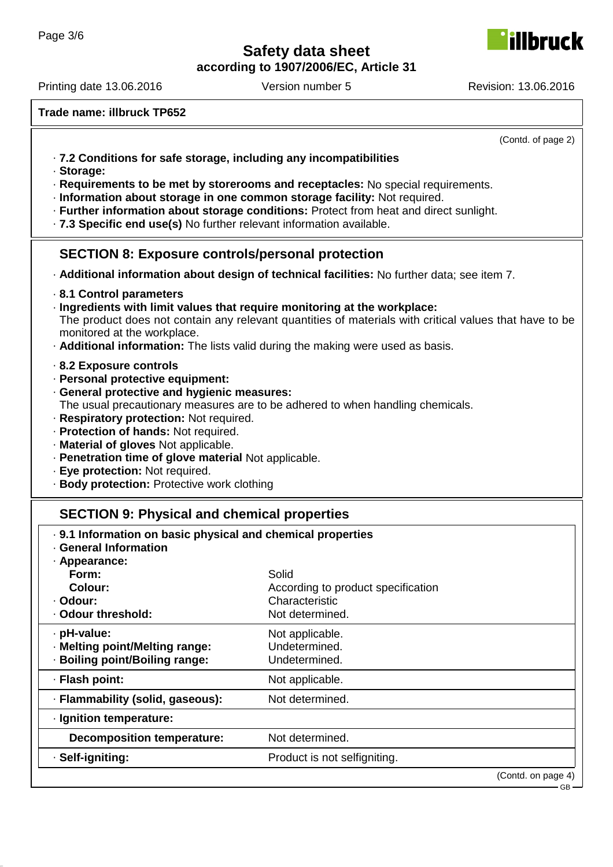**according to 1907/2006/EC, Article 31**

Printing date 13.06.2016 Version number 5 Revision: 13.06.2016

**hruck** 

**Trade name: illbruck TP652**

(Contd. of page 2) · **7.2 Conditions for safe storage, including any incompatibilities** · **Storage:** · **Requirements to be met by storerooms and receptacles:** No special requirements. · **Information about storage in one common storage facility:** Not required. · **Further information about storage conditions:** Protect from heat and direct sunlight. · **7.3 Specific end use(s)** No further relevant information available. **SECTION 8: Exposure controls/personal protection** · **Additional information about design of technical facilities:** No further data; see item 7. · **8.1 Control parameters** · **Ingredients with limit values that require monitoring at the workplace:** The product does not contain any relevant quantities of materials with critical values that have to be monitored at the workplace. · **Additional information:** The lists valid during the making were used as basis. · **8.2 Exposure controls** · **Personal protective equipment:** · **General protective and hygienic measures:** The usual precautionary measures are to be adhered to when handling chemicals. · **Respiratory protection:** Not required. · **Protection of hands:** Not required. · **Material of gloves** Not applicable. · **Penetration time of glove material** Not applicable. · **Eye protection:** Not required. · **Body protection:** Protective work clothing **SECTION 9: Physical and chemical properties** · **9.1 Information on basic physical and chemical properties** · **General Information** · **Appearance: Form:** Solid **Colour:** According to product specification · **Odour:** Characteristic · Odour threshold: Not determined. • **pH-value:** Not applicable. · **Melting point/Melting range:** Undetermined. · **Boiling point/Boiling range:** Undetermined. · **Flash point:** Not applicable. · **Flammability (solid, gaseous):** Not determined. · **Ignition temperature:**

**Decomposition temperature:** Not determined.

· **Self-igniting:** Product is not selfigniting.

(Contd. on page 4)

GB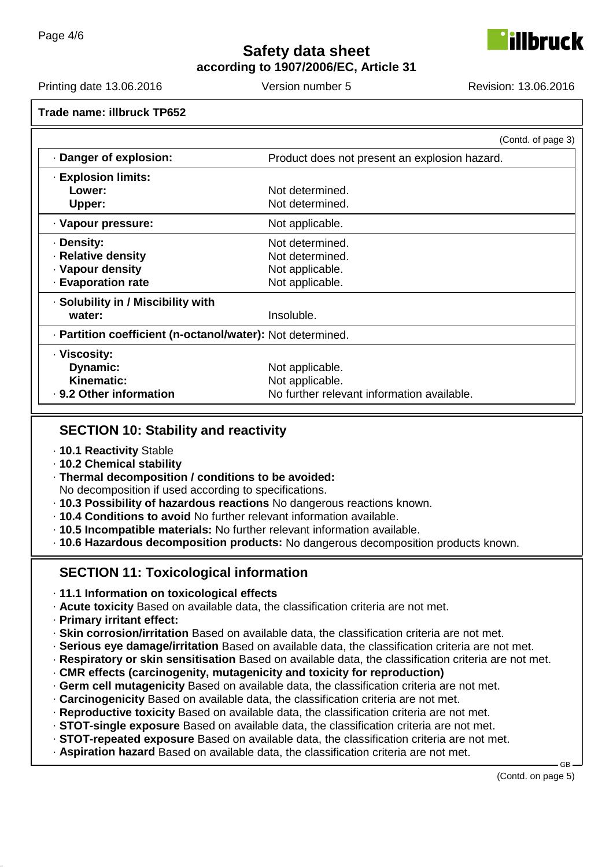lbruck

**according to 1907/2006/EC, Article 31**

Printing date 13.06.2016 Version number 5 Revision: 13.06.2016

|                                                            | (Contd. of page 3)                            |  |
|------------------------------------------------------------|-----------------------------------------------|--|
| Danger of explosion:                                       | Product does not present an explosion hazard. |  |
| $\cdot$ Explosion limits:                                  |                                               |  |
| Lower:                                                     | Not determined.                               |  |
| Upper:                                                     | Not determined.                               |  |
| · Vapour pressure:                                         | Not applicable.                               |  |
| · Density:                                                 | Not determined.                               |  |
| · Relative density                                         | Not determined.                               |  |
| · Vapour density                                           | Not applicable.                               |  |
| <b>Evaporation rate</b>                                    | Not applicable.                               |  |
| · Solubility in / Miscibility with                         |                                               |  |
| water:                                                     | Insoluble.                                    |  |
| · Partition coefficient (n-octanol/water): Not determined. |                                               |  |
| · Viscosity:                                               |                                               |  |
| Dynamic:                                                   | Not applicable.                               |  |
| Kinematic:                                                 | Not applicable.                               |  |
| . 9.2 Other information                                    | No further relevant information available.    |  |

### **SECTION 10: Stability and reactivity**

- · **10.1 Reactivity** Stable
- · **10.2 Chemical stability**
- · **Thermal decomposition / conditions to be avoided:**
- No decomposition if used according to specifications.
- · **10.3 Possibility of hazardous reactions** No dangerous reactions known.
- · **10.4 Conditions to avoid** No further relevant information available.
- · **10.5 Incompatible materials:** No further relevant information available.

· **10.6 Hazardous decomposition products:** No dangerous decomposition products known.

## **SECTION 11: Toxicological information**

- · **11.1 Information on toxicological effects**
- · **Acute toxicity** Based on available data, the classification criteria are not met.
- · **Primary irritant effect:**
- · **Skin corrosion/irritation** Based on available data, the classification criteria are not met.
- · **Serious eye damage/irritation** Based on available data, the classification criteria are not met.
- · **Respiratory or skin sensitisation** Based on available data, the classification criteria are not met.
- · **CMR effects (carcinogenity, mutagenicity and toxicity for reproduction)**
- · **Germ cell mutagenicity** Based on available data, the classification criteria are not met.
- · **Carcinogenicity** Based on available data, the classification criteria are not met.
- · **Reproductive toxicity** Based on available data, the classification criteria are not met.
- · **STOT-single exposure** Based on available data, the classification criteria are not met.
- · **STOT-repeated exposure** Based on available data, the classification criteria are not met.
- · **Aspiration hazard** Based on available data, the classification criteria are not met.

(Contd. on page 5)

GB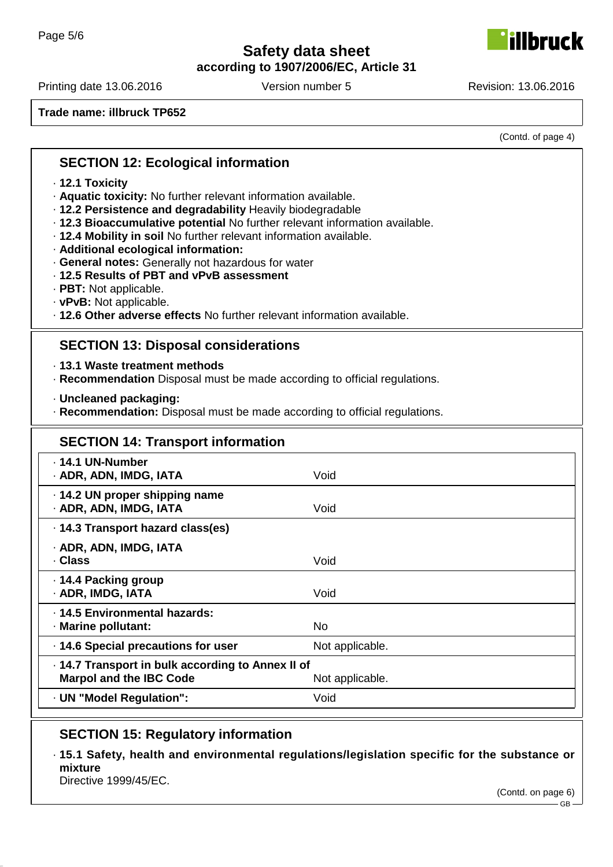**according to 1907/2006/EC, Article 31**

Printing date 13.06.2016 **Version number 5** Revision: 13.06.2016

**Trade name: illbruck TP652**

(Contd. of page 4)

### **SECTION 12: Ecological information**

- · **12.1 Toxicity**
- · **Aquatic toxicity:** No further relevant information available.
- · **12.2 Persistence and degradability** Heavily biodegradable
- · **12.3 Bioaccumulative potential** No further relevant information available.
- · **12.4 Mobility in soil** No further relevant information available.
- · **Additional ecological information:**
- · **General notes:** Generally not hazardous for water
- · **12.5 Results of PBT and vPvB assessment**
- · **PBT:** Not applicable.
- · **vPvB:** Not applicable.
- · **12.6 Other adverse effects** No further relevant information available.

### **SECTION 13: Disposal considerations**

· **13.1 Waste treatment methods**

- · **Recommendation** Disposal must be made according to official regulations.
- · **Uncleaned packaging:**
- · **Recommendation:** Disposal must be made according to official regulations.

# **SECTION 14: Transport information** · **14.1 UN-Number** · **ADR, ADN, IMDG, IATA** Void · **14.2 UN proper shipping name** · **ADR, ADN, IMDG, IATA** Void · **14.3 Transport hazard class(es)** · **ADR, ADN, IMDG, IATA** · **Class** Void · **14.4 Packing group** · **ADR, IMDG, IATA** Void · **14.5 Environmental hazards:** · **Marine pollutant:** No **14.6 Special precautions for user** Not applicable. · **14.7 Transport in bulk according to Annex II of Marpol and the IBC Code** Not applicable. · **UN "Model Regulation":** Void

## **SECTION 15: Regulatory information**

· **15.1 Safety, health and environmental regulations/legislation specific for the substance or mixture**

Directive 1999/45/EC.